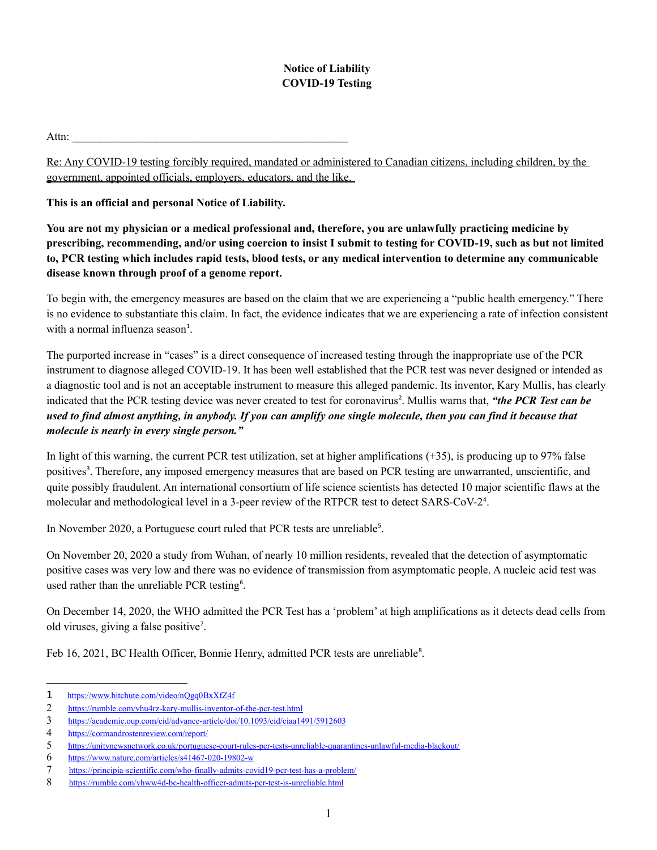## **Notice of Liability COVID-19 Testing**

 $\mathsf{Attn:}$ 

Re: Any COVID-19 testing forcibly required, mandated or administered to Canadian citizens, including children, by the government, appointed officials, employers, educators, and the like.

**This is an official and personal Notice of Liability.**

**You are not my physician or a medical professional and, therefore, you are unlawfully practicing medicine by prescribing, recommending, and/or using coercion to insist I submit to testing for COVID-19, such as but not limited to, PCR testing which includes rapid tests, blood tests, or any medical intervention to determine any communicable disease known through proof of a genome report.**

To begin with, the emergency measures are based on the claim that we are experiencing a "public health emergency." There is no evidence to substantiate this claim. In fact, the evidence indicates that we are experiencing a rate of infection consistent with a normal influenza season<sup>[1](#page-0-0)</sup>.

The purported increase in "cases" is a direct consequence of increased testing through the inappropriate use of the PCR instrument to diagnose alleged COVID-19. It has been well established that the PCR test was never designed or intended as a diagnostic tool and is not an acceptable instrument to measure this alleged pandemic. Its inventor, Kary Mullis, has clearly indicated that the PCR testing device was never created to test for coronavirus<sup>[2](#page-0-1)</sup>. Mullis warns that, "the PCR Test can be *used to find almost anything, in anybody. If you can amplify one single molecule, then you can find it because that molecule is nearly in every single person."* 

In light of this warning, the current PCR test utilization, set at higher amplifications  $(+35)$ , is producing up to 97% false positives<sup>[3](#page-0-2)</sup>. Therefore, any imposed emergency measures that are based on PCR testing are unwarranted, unscientific, and quite possibly fraudulent. An international consortium of life science scientists has detected 10 major scientific flaws at the molecular and methodological level in a 3-peer review of the RTPCR test to detect SARS-CoV-2<sup>[4](#page-0-3)</sup>.

In November 2020, a Portuguese court ruled that PCR tests are unreliable<sup>[5](#page-0-4)</sup>.

On November 20, 2020 a study from Wuhan, of nearly 10 million residents, revealed that the detection of asymptomatic positive cases was very low and there was no evidence of transmission from asymptomatic people. A nucleic acid test was used rather than the unreliable PCR testing<sup>[6](#page-0-5)</sup>.

On December 14, 2020, the WHO admitted the PCR Test has a 'problem' at high amplifications as it detects dead cells from old viruses, giving a false positive<sup>[7](#page-0-6)</sup>.

Feb 16, 2021, BC Health Officer, Bonnie Henry, admitted PCR tests are unreliable<sup>[8](#page-0-7)</sup>.

<span id="page-0-0"></span><sup>1</sup> <https://www.bitchute.com/video/nQgq0BxXfZ4f>

<span id="page-0-1"></span><sup>2</sup> <https://rumble.com/vhu4rz-kary-mullis-inventor-of-the-pcr-test.html>

<span id="page-0-2"></span><sup>3</sup> <https://academic.oup.com/cid/advance-article/doi/10.1093/cid/ciaa1491/5912603>

<span id="page-0-3"></span><sup>4</sup> <https://cormandrostenreview.com/report/>

<span id="page-0-4"></span><sup>5</sup> <https://unitynewsnetwork.co.uk/portuguese-court-rules-pcr-tests-unreliable-quarantines-unlawful-media-blackout/>

<span id="page-0-5"></span><sup>6</sup> <https://www.nature.com/articles/s41467-020-19802-w>

<span id="page-0-6"></span><sup>7</sup> <https://principia-scientific.com/who-finally-admits-covid19-pcr-test-has-a-problem/>

<span id="page-0-7"></span><sup>8</sup> <https://rumble.com/vhww4d-bc-health-officer-admits-pcr-test-is-unreliable.html>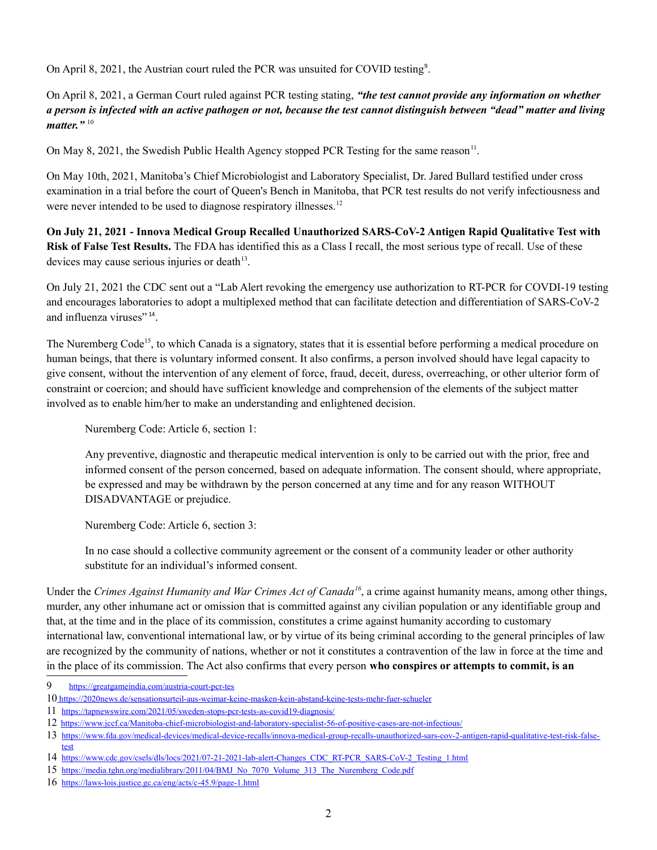On April 8, 2021, the Austrian court ruled the PCR was unsuited for COVID testing<sup>[9](#page-1-0)</sup>.

On April 8, 2021, a German Court ruled against PCR testing stating, *"the test cannot provide any information on whether a person is infected with an active pathogen or not, because the test cannot distinguish between "dead" matter and living matter.*"<sup>[10](#page-1-1)</sup>

On May 8, 2021, the Swedish Public Health Agency stopped PCR Testing for the same reason<sup>[11](#page-1-2)</sup>.

On May 10th, 2021, Manitoba's Chief Microbiologist and Laboratory Specialist, Dr. Jared Bullard testified under cross examination in a trial before the court of Queen's Bench in Manitoba, that PCR test results do not verify infectiousness and were never intended to be used to diagnose respiratory illnesses.<sup>[12](#page-1-3)</sup>

**On July 21, 2021 - Innova Medical Group Recalled Unauthorized SARS-CoV-2 Antigen Rapid Qualitative Test with Risk of False Test Results.** The FDA has identified this as a Class I recall, the most serious type of recall. Use of these devices may cause serious injuries or death $13$ .

On July 21, 2021 the CDC sent out a "Lab Alert revoking the emergency use authorization to RT-PCR for COVDI-19 testing and encourages laboratories to adopt a multiplexed method that can facilitate detection and differentiation of SARS-CoV-2 and influenza viruses"<sup>[14](#page-1-5)</sup>.

The Nuremberg Code<sup>[15](#page-1-6)</sup>, to which Canada is a signatory, states that it is essential before performing a medical procedure on human beings, that there is voluntary informed consent. It also confirms, a person involved should have legal capacity to give consent, without the intervention of any element of force, fraud, deceit, duress, overreaching, or other ulterior form of constraint or coercion; and should have sufficient knowledge and comprehension of the elements of the subject matter involved as to enable him/her to make an understanding and enlightened decision.

Nuremberg Code: Article 6, section 1:

Any preventive, diagnostic and therapeutic medical intervention is only to be carried out with the prior, free and informed consent of the person concerned, based on adequate information. The consent should, where appropriate, be expressed and may be withdrawn by the person concerned at any time and for any reason WITHOUT DISADVANTAGE or prejudice.

Nuremberg Code: Article 6, section 3:

In no case should a collective community agreement or the consent of a community leader or other authority substitute for an individual's informed consent.

Under the *Crimes Against Humanity and War Crimes Act of Canada[16](#page-1-7)*, a crime against humanity means, among other things, murder, any other inhumane act or omission that is committed against any civilian population or any identifiable group and that, at the time and in the place of its commission, constitutes a crime against humanity according to customary international law, conventional international law, or by virtue of its being criminal according to the general principles of law are recognized by the community of nations, whether or not it constitutes a contravention of the law in force at the time and in the place of its commission. The Act also confirms that every person **who conspires or attempts to commit, is an** 

<span id="page-1-0"></span><sup>9</sup> <https://greatgameindia.com/austria-court-pcr-tes>

<span id="page-1-1"></span><sup>10</sup><https://2020news.de/sensationsurteil-aus-weimar-keine-masken-kein-abstand-keine-tests-mehr-fuer-schueler>

<span id="page-1-2"></span><sup>11</sup><https://tapnewswire.com/2021/05/sweden-stops-pcr-tests-as-covid19-diagnosis/>

<span id="page-1-3"></span><sup>12</sup> https://www.jccf.ca/Manitoba-chief-microbiologist-and-laboratory-specialist-56-of-positive-cases-are-not-infectious/

<span id="page-1-4"></span><sup>13</sup> [https://www.fda.gov/medical-devices/medical-device-recalls/innova-medical-group-recalls-unauthorized-sars-cov-2-antigen-rapid-qualitative-test-risk-false](https://www.fda.gov/medical-devices/medical-device-recalls/innova-medical-group-recalls-unauthorized-sars-cov-2-antigen-rapid-qualitative-test-risk-false-test)[test](https://www.fda.gov/medical-devices/medical-device-recalls/innova-medical-group-recalls-unauthorized-sars-cov-2-antigen-rapid-qualitative-test-risk-false-test)

<span id="page-1-5"></span><sup>14</sup> [https://www.cdc.gov/csels/dls/locs/2021/07-21-2021-lab-alert-Changes\\_CDC\\_RT-PCR\\_SARS-CoV-2\\_Testing\\_1.html](https://www.cdc.gov/csels/dls/locs/2021/07-21-2021-lab-alert-Changes_CDC_RT-PCR_SARS-CoV-2_Testing_1.html)

<span id="page-1-6"></span><sup>15</sup> [https://media.tghn.org/medialibrary/2011/04/BMJ\\_No\\_7070\\_Volume\\_313\\_The\\_Nuremberg\\_Code.pdf](https://media.tghn.org/medialibrary/2011/04/BMJ_No_7070_Volume_313_The_Nuremberg_Code.pdf)

<span id="page-1-7"></span><sup>16</sup> <https://laws-lois.justice.gc.ca/eng/acts/c-45.9/page-1.html>